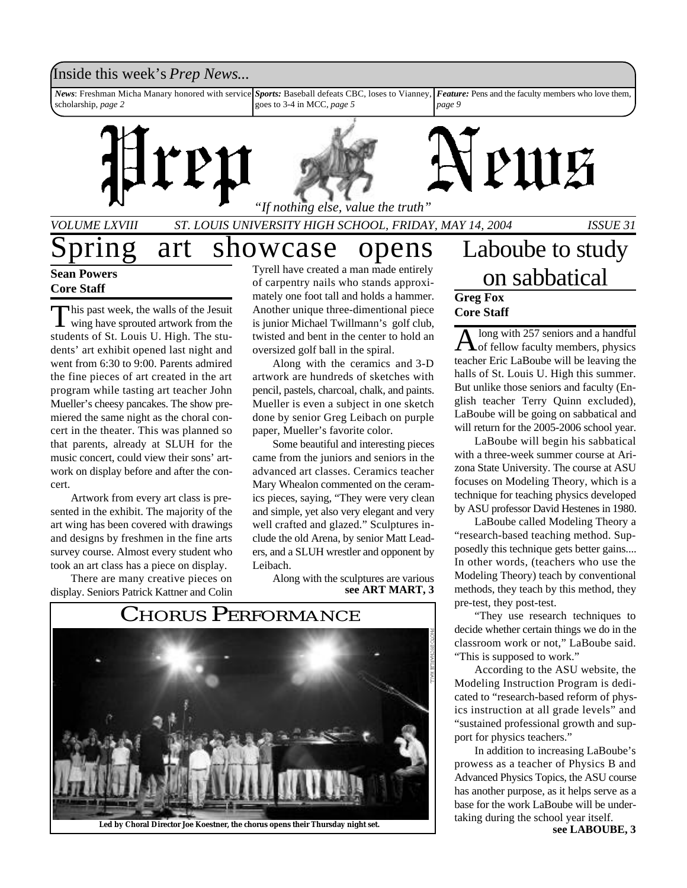### Inside this week's *Prep News*...

*News*: Freshman Micha Manary honored with service scholarship, *page 2 Sports:* Baseball defeats CBC, loses to Vianney, goes to 3-4 in MCC, *page 5 Feature:* Pens and the faculty members who love them, *page 9*





# PULF

*VOLUME LXVIII ST. LOUIS UNIVERSITY HIGH SCHOOL, FRIDAY, MAY 14, 2004 ISSUE 31*

### ring art showcase opens

**Sean Powers Core Staff**

This past week, the walls of the Jesuit<br>wing have sprouted artwork from the his past week, the walls of the Jesuit students of St. Louis U. High. The students' art exhibit opened last night and went from 6:30 to 9:00. Parents admired the fine pieces of art created in the art program while tasting art teacher John Mueller's cheesy pancakes. The show premiered the same night as the choral concert in the theater. This was planned so that parents, already at SLUH for the music concert, could view their sons' artwork on display before and after the concert.

Artwork from every art class is presented in the exhibit. The majority of the art wing has been covered with drawings and designs by freshmen in the fine arts survey course. Almost every student who took an art class has a piece on display.

There are many creative pieces on display. Seniors Patrick Kattner and Colin

Tyrell have created a man made entirely of carpentry nails who stands approximately one foot tall and holds a hammer. Another unique three-dimentional piece is junior Michael Twillmann's golf club, twisted and bent in the center to hold an oversized golf ball in the spiral.

Along with the ceramics and 3-D artwork are hundreds of sketches with pencil, pastels, charcoal, chalk, and paints. Mueller is even a subject in one sketch done by senior Greg Leibach on purple paper, Mueller's favorite color.

Some beautiful and interesting pieces came from the juniors and seniors in the advanced art classes. Ceramics teacher Mary Whealon commented on the ceramics pieces, saying, "They were very clean and simple, yet also very elegant and very well crafted and glazed." Sculptures include the old Arena, by senior Matt Leaders, and a SLUH wrestler and opponent by Leibach.

Along with the sculptures are various **see ART MART, 3**



### Laboube to study on sabbatical **Greg Fox Core Staff**

A long with 257 seniors and a handful<br>of fellow faculty members, physics long with 257 seniors and a handful teacher Eric LaBoube will be leaving the halls of St. Louis U. High this summer. But unlike those seniors and faculty (English teacher Terry Quinn excluded), LaBoube will be going on sabbatical and will return for the 2005-2006 school year.

LaBoube will begin his sabbatical with a three-week summer course at Arizona State University. The course at ASU focuses on Modeling Theory, which is a technique for teaching physics developed by ASU professor David Hestenes in 1980.

LaBoube called Modeling Theory a "research-based teaching method. Supposedly this technique gets better gains.... In other words, (teachers who use the Modeling Theory) teach by conventional methods, they teach by this method, they pre-test, they post-test.

"They use research techniques to decide whether certain things we do in the classroom work or not," LaBoube said. "This is supposed to work."

According to the ASU website, the Modeling Instruction Program is dedicated to "research-based reform of physics instruction at all grade levels" and "sustained professional growth and support for physics teachers."

In addition to increasing LaBoube's prowess as a teacher of Physics B and Advanced Physics Topics, the ASU course has another purpose, as it helps serve as a base for the work LaBoube will be undertaking during the school year itself.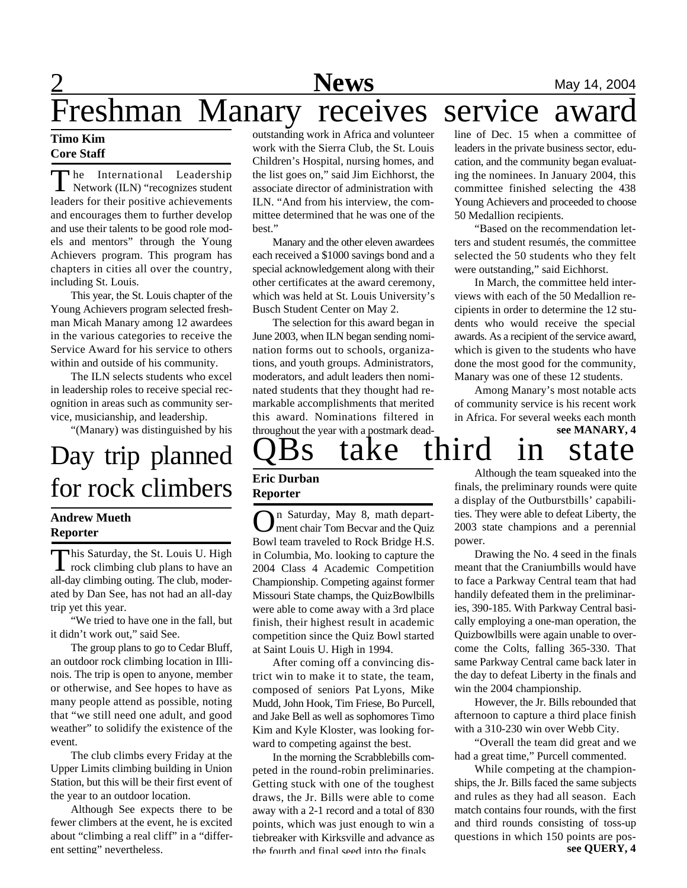# Freshman Manary receives service awar

### **Timo Kim Core Staff**

The International Leadership<br>Network (ILN) "recognizes student he International Leadership leaders for their positive achievements and encourages them to further develop and use their talents to be good role models and mentors" through the Young Achievers program. This program has chapters in cities all over the country, including St. Louis.

This year, the St. Louis chapter of the Young Achievers program selected freshman Micah Manary among 12 awardees in the various categories to receive the Service Award for his service to others within and outside of his community.

The ILN selects students who excel in leadership roles to receive special recognition in areas such as community service, musicianship, and leadership.

"(Manary) was distinguished by his

# Day trip planned for rock climbers

### **Andrew Mueth Reporter**

This Saturday, the St. Louis U. High<br>rock climbing club plans to have an his Saturday, the St. Louis U. High all-day climbing outing. The club, moderated by Dan See, has not had an all-day trip yet this year.

"We tried to have one in the fall, but it didn't work out," said See.

The group plans to go to Cedar Bluff, an outdoor rock climbing location in Illinois. The trip is open to anyone, member or otherwise, and See hopes to have as many people attend as possible, noting that "we still need one adult, and good weather" to solidify the existence of the event.

The club climbs every Friday at the Upper Limits climbing building in Union Station, but this will be their first event of the year to an outdoor location.

Although See expects there to be fewer climbers at the event, he is excited about "climbing a real cliff" in a "different setting" nevertheless.

outstanding work in Africa and volunteer work with the Sierra Club, the St. Louis Children's Hospital, nursing homes, and the list goes on," said Jim Eichhorst, the associate director of administration with ILN. "And from his interview, the committee determined that he was one of the best."

Manary and the other eleven awardees each received a \$1000 savings bond and a special acknowledgement along with their other certificates at the award ceremony, which was held at St. Louis University's Busch Student Center on May 2.

The selection for this award began in June 2003, when ILN began sending nomination forms out to schools, organizations, and youth groups. Administrators, moderators, and adult leaders then nominated students that they thought had remarkable accomplishments that merited this award. Nominations filtered in throughout the year with a postmark dead-

line of Dec. 15 when a committee of leaders in the private business sector, education, and the community began evaluating the nominees. In January 2004, this committee finished selecting the 438 Young Achievers and proceeded to choose 50 Medallion recipients.

"Based on the recommendation letters and student resumés, the committee selected the 50 students who they felt were outstanding," said Eichhorst.

In March, the committee held interviews with each of the 50 Medallion recipients in order to determine the 12 students who would receive the special awards. As a recipient of the service award, which is given to the students who have done the most good for the community, Manary was one of these 12 students.

**see MANARY, 4** Among Manary's most notable acts of community service is his recent work in Africa. For several weeks each month

# 3s take third in state

### **Eric Durban Reporter**

On Saturday, May 8, math department chair Tom Becvar and the Quiz Bowl team traveled to Rock Bridge H.S. in Columbia, Mo. looking to capture the 2004 Class 4 Academic Competition Championship. Competing against former Missouri State champs, the QuizBowlbills were able to come away with a 3rd place finish, their highest result in academic competition since the Quiz Bowl started at Saint Louis U. High in 1994.

After coming off a convincing district win to make it to state, the team, composed of seniors Pat Lyons, Mike Mudd, John Hook, Tim Friese, Bo Purcell, and Jake Bell as well as sophomores Timo Kim and Kyle Kloster, was looking forward to competing against the best.

In the morning the Scrabblebills competed in the round-robin preliminaries. Getting stuck with one of the toughest draws, the Jr. Bills were able to come away with a 2-1 record and a total of 830 points, which was just enough to win a tiebreaker with Kirksville and advance as the fourth and final seed into the finals.

Although the team squeaked into the finals, the preliminary rounds were quite a display of the Outburstbills' capabilities. They were able to defeat Liberty, the 2003 state champions and a perennial power.

Drawing the No. 4 seed in the finals meant that the Craniumbills would have to face a Parkway Central team that had handily defeated them in the preliminaries, 390-185. With Parkway Central basically employing a one-man operation, the Quizbowlbills were again unable to overcome the Colts, falling 365-330. That same Parkway Central came back later in the day to defeat Liberty in the finals and win the 2004 championship.

However, the Jr. Bills rebounded that afternoon to capture a third place finish with a 310-230 win over Webb City.

"Overall the team did great and we had a great time," Purcell commented.

**see QUERY, 4** While competing at the championships, the Jr. Bills faced the same subjects and rules as they had all season. Each match contains four rounds, with the first and third rounds consisting of toss-up questions in which 150 points are pos-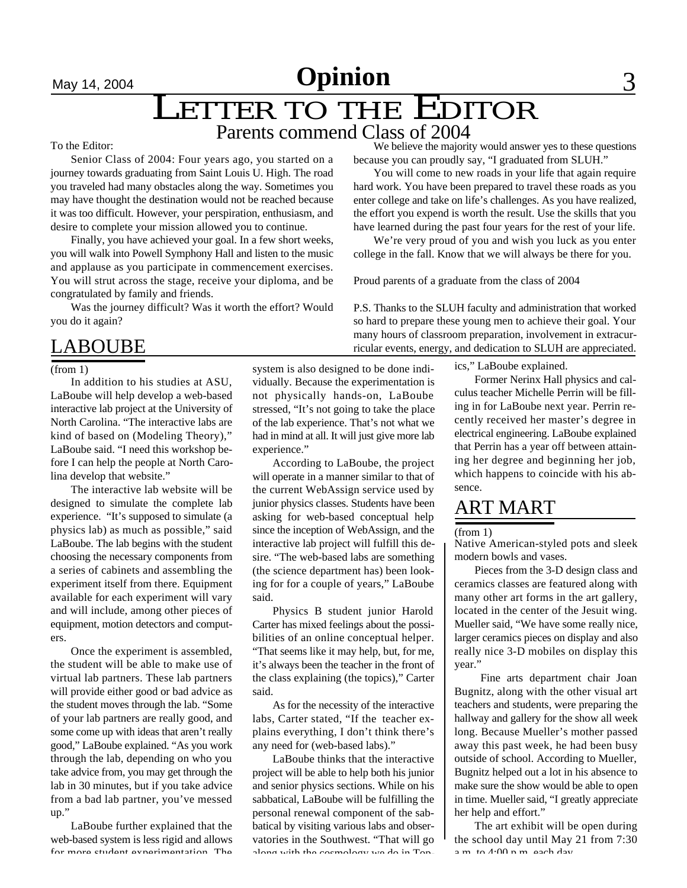# May 14, 2004 **News** 3 **Opinion**

### LETTER TO THE EDITOR Parents commend Class of 2004

#### To the Editor:

Senior Class of 2004: Four years ago, you started on a journey towards graduating from Saint Louis U. High. The road you traveled had many obstacles along the way. Sometimes you may have thought the destination would not be reached because it was too difficult. However, your perspiration, enthusiasm, and desire to complete your mission allowed you to continue.

Finally, you have achieved your goal. In a few short weeks, you will walk into Powell Symphony Hall and listen to the music and applause as you participate in commencement exercises. You will strut across the stage, receive your diploma, and be congratulated by family and friends.

Was the journey difficult? Was it worth the effort? Would you do it again?

### LABOUBE

In addition to his studies at ASU, LaBoube will help develop a web-based interactive lab project at the University of North Carolina. "The interactive labs are kind of based on (Modeling Theory)," LaBoube said. "I need this workshop before I can help the people at North Carolina develop that website."

The interactive lab website will be designed to simulate the complete lab experience. "It's supposed to simulate (a physics lab) as much as possible," said LaBoube. The lab begins with the student choosing the necessary components from a series of cabinets and assembling the experiment itself from there. Equipment available for each experiment will vary and will include, among other pieces of equipment, motion detectors and computers.

Once the experiment is assembled, the student will be able to make use of virtual lab partners. These lab partners will provide either good or bad advice as the student moves through the lab. "Some of your lab partners are really good, and some come up with ideas that aren't really good," LaBoube explained. "As you work through the lab, depending on who you take advice from, you may get through the lab in 30 minutes, but if you take advice from a bad lab partner, you've messed up."

LaBoube further explained that the web-based system is less rigid and allows for more student experimentation. The

because you can proudly say, "I graduated from SLUH." You will come to new roads in your life that again require hard work. You have been prepared to travel these roads as you

enter college and take on life's challenges. As you have realized, the effort you expend is worth the result. Use the skills that you have learned during the past four years for the rest of your life.

We believe the majority would answer yes to these questions

We're very proud of you and wish you luck as you enter college in the fall. Know that we will always be there for you.

Proud parents of a graduate from the class of 2004

P.S. Thanks to the SLUH faculty and administration that worked so hard to prepare these young men to achieve their goal. Your many hours of classroom preparation, involvement in extracurricular events, energy, and dedication to SLUH are appreciated.

ics," LaBoube explained.

Former Nerinx Hall physics and calculus teacher Michelle Perrin will be filling in for LaBoube next year. Perrin recently received her master's degree in electrical engineering. LaBoube explained that Perrin has a year off between attaining her degree and beginning her job, which happens to coincide with his absence.

### ART MART

(from 1)

Native American-styled pots and sleek modern bowls and vases.

Pieces from the 3-D design class and ceramics classes are featured along with many other art forms in the art gallery, located in the center of the Jesuit wing. Mueller said, "We have some really nice, larger ceramics pieces on display and also really nice 3-D mobiles on display this year."

Fine arts department chair Joan Bugnitz, along with the other visual art teachers and students, were preparing the hallway and gallery for the show all week long. Because Mueller's mother passed away this past week, he had been busy outside of school. According to Mueller, Bugnitz helped out a lot in his absence to make sure the show would be able to open in time. Mueller said, "I greatly appreciate her help and effort."

The art exhibit will be open during the school day until May 21 from 7:30 a.m. to 1:00 n.m. each day.

### (from 1) system is also designed to be done individually. Because the experimentation is not physically hands-on, LaBoube stressed, "It's not going to take the place of the lab experience. That's not what we had in mind at all. It will just give more lab experience."

According to LaBoube, the project will operate in a manner similar to that of the current WebAssign service used by junior physics classes. Students have been asking for web-based conceptual help since the inception of WebAssign, and the interactive lab project will fulfill this desire. "The web-based labs are something (the science department has) been looking for for a couple of years," LaBoube said.

Physics B student junior Harold Carter has mixed feelings about the possibilities of an online conceptual helper. "That seems like it may help, but, for me, it's always been the teacher in the front of the class explaining (the topics)," Carter said.

As for the necessity of the interactive labs, Carter stated, "If the teacher explains everything, I don't think there's any need for (web-based labs)."

LaBoube thinks that the interactive project will be able to help both his junior and senior physics sections. While on his sabbatical, LaBoube will be fulfilling the personal renewal component of the sabbatical by visiting various labs and observatories in the Southwest. "That will go along with the cosmology we do in Top-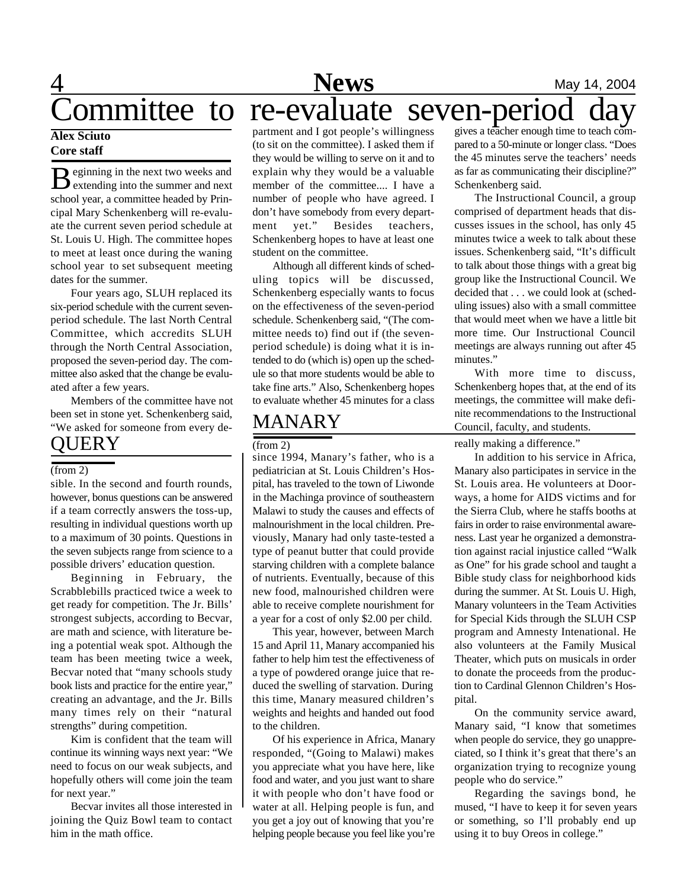### 4 **News** May 14, 2004 Committee to re-evaluate seven-period day

### **Alex Sciuto Core staff**

 $\mathbf{B}$  eginning in the next two weeks and<br>extending into the summer and next eginning in the next two weeks and school year, a committee headed by Principal Mary Schenkenberg will re-evaluate the current seven period schedule at St. Louis U. High. The committee hopes to meet at least once during the waning school year to set subsequent meeting dates for the summer.

Four years ago, SLUH replaced its six-period schedule with the current sevenperiod schedule. The last North Central Committee, which accredits SLUH through the North Central Association, proposed the seven-period day. The committee also asked that the change be evaluated after a few years.

Members of the committee have not been set in stone yet. Schenkenberg said, "We asked for someone from every de-**OUERY** 

#### $(from 2)$

sible. In the second and fourth rounds, however, bonus questions can be answered if a team correctly answers the toss-up, resulting in individual questions worth up to a maximum of 30 points. Questions in the seven subjects range from science to a possible drivers' education question.

Beginning in February, the Scrabblebills practiced twice a week to get ready for competition. The Jr. Bills' strongest subjects, according to Becvar, are math and science, with literature being a potential weak spot. Although the team has been meeting twice a week, Becvar noted that "many schools study book lists and practice for the entire year," creating an advantage, and the Jr. Bills many times rely on their "natural strengths" during competition.

Kim is confident that the team will continue its winning ways next year: "We need to focus on our weak subjects, and hopefully others will come join the team for next year."

Becvar invites all those interested in joining the Quiz Bowl team to contact him in the math office.

partment and I got people's willingness (to sit on the committee). I asked them if they would be willing to serve on it and to explain why they would be a valuable member of the committee.... I have a number of people who have agreed. I don't have somebody from every department yet." Besides teachers, Schenkenberg hopes to have at least one student on the committee.

Although all different kinds of scheduling topics will be discussed, Schenkenberg especially wants to focus on the effectiveness of the seven-period schedule. Schenkenberg said, "(The committee needs to) find out if (the sevenperiod schedule) is doing what it is intended to do (which is) open up the schedule so that more students would be able to take fine arts." Also, Schenkenberg hopes to evaluate whether 45 minutes for a class

### MANARY

#### (from 2)

since 1994, Manary's father, who is a pediatrician at St. Louis Children's Hospital, has traveled to the town of Liwonde in the Machinga province of southeastern Malawi to study the causes and effects of malnourishment in the local children. Previously, Manary had only taste-tested a type of peanut butter that could provide starving children with a complete balance of nutrients. Eventually, because of this new food, malnourished children were able to receive complete nourishment for a year for a cost of only \$2.00 per child.

This year, however, between March 15 and April 11, Manary accompanied his father to help him test the effectiveness of a type of powdered orange juice that reduced the swelling of starvation. During this time, Manary measured children's weights and heights and handed out food to the children.

Of his experience in Africa, Manary responded, "(Going to Malawi) makes you appreciate what you have here, like food and water, and you just want to share it with people who don't have food or water at all. Helping people is fun, and you get a joy out of knowing that you're helping people because you feel like you're

gives a teacher enough time to teach compared to a 50-minute or longer class. "Does the 45 minutes serve the teachers' needs as far as communicating their discipline?" Schenkenberg said.

The Instructional Council, a group comprised of department heads that discusses issues in the school, has only 45 minutes twice a week to talk about these issues. Schenkenberg said, "It's difficult to talk about those things with a great big group like the Instructional Council. We decided that . . . we could look at (scheduling issues) also with a small committee that would meet when we have a little bit more time. Our Instructional Council meetings are always running out after 45 minutes."

With more time to discuss, Schenkenberg hopes that, at the end of its meetings, the committee will make definite recommendations to the Instructional Council, faculty, and students.

really making a difference."

In addition to his service in Africa, Manary also participates in service in the St. Louis area. He volunteers at Doorways, a home for AIDS victims and for the Sierra Club, where he staffs booths at fairs in order to raise environmental awareness. Last year he organized a demonstration against racial injustice called "Walk as One" for his grade school and taught a Bible study class for neighborhood kids during the summer. At St. Louis U. High, Manary volunteers in the Team Activities for Special Kids through the SLUH CSP program and Amnesty Intenational. He also volunteers at the Family Musical Theater, which puts on musicals in order to donate the proceeds from the production to Cardinal Glennon Children's Hospital.

On the community service award, Manary said, "I know that sometimes when people do service, they go unappreciated, so I think it's great that there's an organization trying to recognize young people who do service."

Regarding the savings bond, he mused, "I have to keep it for seven years or something, so I'll probably end up using it to buy Oreos in college."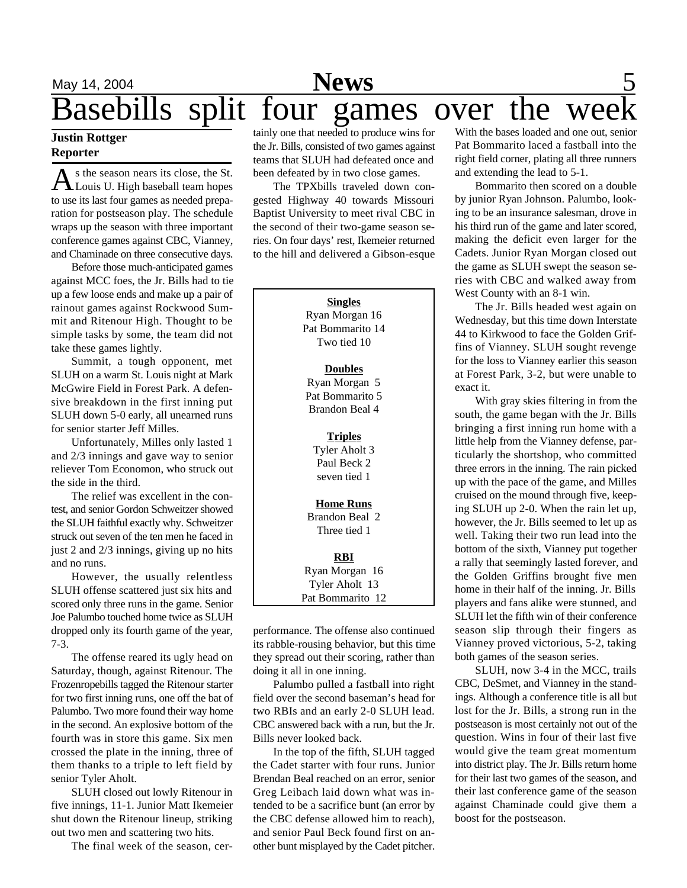### May 14, 2004 **News** 5 Basebills split four games over the wee

### **Justin Rottger Reporter**

 $A$ <sup>s</sup> the season nears its close, the St.<br>Louis U. High baseball team hopes s the season nears its close, the St. to use its last four games as needed preparation for postseason play. The schedule wraps up the season with three important conference games against CBC, Vianney, and Chaminade on three consecutive days.

Before those much-anticipated games against MCC foes, the Jr. Bills had to tie up a few loose ends and make up a pair of rainout games against Rockwood Summit and Ritenour High. Thought to be simple tasks by some, the team did not take these games lightly.

Summit, a tough opponent, met SLUH on a warm St. Louis night at Mark McGwire Field in Forest Park. A defensive breakdown in the first inning put SLUH down 5-0 early, all unearned runs for senior starter Jeff Milles.

Unfortunately, Milles only lasted 1 and 2/3 innings and gave way to senior reliever Tom Economon, who struck out the side in the third.

The relief was excellent in the contest, and senior Gordon Schweitzer showed the SLUH faithful exactly why. Schweitzer struck out seven of the ten men he faced in just 2 and 2/3 innings, giving up no hits and no runs.

However, the usually relentless SLUH offense scattered just six hits and scored only three runs in the game. Senior Joe Palumbo touched home twice as SLUH dropped only its fourth game of the year, 7-3.

The offense reared its ugly head on Saturday, though, against Ritenour. The Frozenropebills tagged the Ritenour starter for two first inning runs, one off the bat of Palumbo. Two more found their way home in the second. An explosive bottom of the fourth was in store this game. Six men crossed the plate in the inning, three of them thanks to a triple to left field by senior Tyler Aholt.

SLUH closed out lowly Ritenour in five innings, 11-1. Junior Matt Ikemeier shut down the Ritenour lineup, striking out two men and scattering two hits.

The final week of the season, cer-

tainly one that needed to produce wins for the Jr. Bills, consisted of two games against teams that SLUH had defeated once and been defeated by in two close games.

The TPXbills traveled down congested Highway 40 towards Missouri Baptist University to meet rival CBC in the second of their two-game season series. On four days' rest, Ikemeier returned to the hill and delivered a Gibson-esque

> **Singles** Ryan Morgan 16 Pat Bommarito 14 Two tied 10 **Doubles** Ryan Morgan 5 Pat Bommarito 5 Brandon Beal 4 **Triples** Tyler Aholt 3 Paul Beck 2 seven tied 1 **Home Runs** Brandon Beal 2 Three tied 1 **RBI** Ryan Morgan 16 Tyler Aholt 13 Pat Bommarito 12

performance. The offense also continued its rabble-rousing behavior, but this time they spread out their scoring, rather than doing it all in one inning.

Palumbo pulled a fastball into right field over the second baseman's head for two RBIs and an early 2-0 SLUH lead. CBC answered back with a run, but the Jr. Bills never looked back.

In the top of the fifth, SLUH tagged the Cadet starter with four runs. Junior Brendan Beal reached on an error, senior Greg Leibach laid down what was intended to be a sacrifice bunt (an error by the CBC defense allowed him to reach), and senior Paul Beck found first on another bunt misplayed by the Cadet pitcher.

With the bases loaded and one out, senior Pat Bommarito laced a fastball into the right field corner, plating all three runners and extending the lead to 5-1.

Bommarito then scored on a double by junior Ryan Johnson. Palumbo, looking to be an insurance salesman, drove in his third run of the game and later scored, making the deficit even larger for the Cadets. Junior Ryan Morgan closed out the game as SLUH swept the season series with CBC and walked away from West County with an 8-1 win.

The Jr. Bills headed west again on Wednesday, but this time down Interstate 44 to Kirkwood to face the Golden Griffins of Vianney. SLUH sought revenge for the loss to Vianney earlier this season at Forest Park, 3-2, but were unable to exact it.

With gray skies filtering in from the south, the game began with the Jr. Bills bringing a first inning run home with a little help from the Vianney defense, particularly the shortshop, who committed three errors in the inning. The rain picked up with the pace of the game, and Milles cruised on the mound through five, keeping SLUH up 2-0. When the rain let up, however, the Jr. Bills seemed to let up as well. Taking their two run lead into the bottom of the sixth, Vianney put together a rally that seemingly lasted forever, and the Golden Griffins brought five men home in their half of the inning. Jr. Bills players and fans alike were stunned, and SLUH let the fifth win of their conference season slip through their fingers as Vianney proved victorious, 5-2, taking both games of the season series.

SLUH, now 3-4 in the MCC, trails CBC, DeSmet, and Vianney in the standings. Although a conference title is all but lost for the Jr. Bills, a strong run in the postseason is most certainly not out of the question. Wins in four of their last five would give the team great momentum into district play. The Jr. Bills return home for their last two games of the season, and their last conference game of the season against Chaminade could give them a boost for the postseason.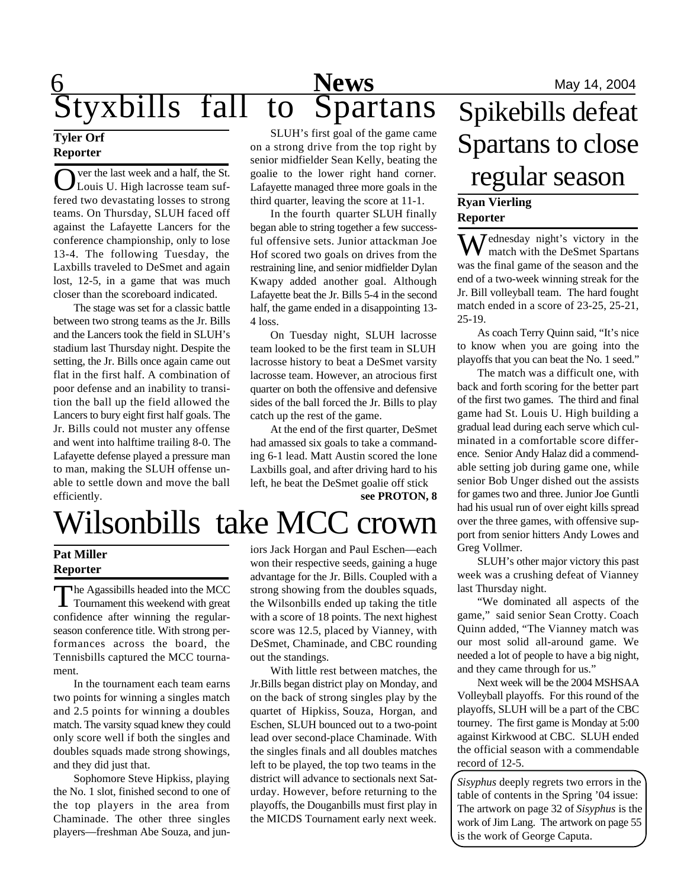# 6 **News** May 14, 2004 Styxbills fall to Spartans

### **Tyler Orf Reporter**

O ver the last week and a half, the St. Louis U. High lacrosse team suffered two devastating losses to strong teams. On Thursday, SLUH faced off against the Lafayette Lancers for the conference championship, only to lose 13-4. The following Tuesday, the Laxbills traveled to DeSmet and again lost, 12-5, in a game that was much closer than the scoreboard indicated.

The stage was set for a classic battle between two strong teams as the Jr. Bills and the Lancers took the field in SLUH's stadium last Thursday night. Despite the setting, the Jr. Bills once again came out flat in the first half. A combination of poor defense and an inability to transition the ball up the field allowed the Lancers to bury eight first half goals. The Jr. Bills could not muster any offense and went into halftime trailing 8-0. The Lafayette defense played a pressure man to man, making the SLUH offense unable to settle down and move the ball efficiently.

SLUH's first goal of the game came on a strong drive from the top right by senior midfielder Sean Kelly, beating the goalie to the lower right hand corner. Lafayette managed three more goals in the third quarter, leaving the score at 11-1.

In the fourth quarter SLUH finally began able to string together a few successful offensive sets. Junior attackman Joe Hof scored two goals on drives from the restraining line, and senior midfielder Dylan Kwapy added another goal. Although Lafayette beat the Jr. Bills 5-4 in the second half, the game ended in a disappointing 13- 4 loss.

On Tuesday night, SLUH lacrosse team looked to be the first team in SLUH lacrosse history to beat a DeSmet varsity lacrosse team. However, an atrocious first quarter on both the offensive and defensive sides of the ball forced the Jr. Bills to play catch up the rest of the game.

At the end of the first quarter, DeSmet had amassed six goals to take a commanding 6-1 lead. Matt Austin scored the lone Laxbills goal, and after driving hard to his left, he beat the DeSmet goalie off stick

**see PROTON, 8**

# Wilsonbills take MCC crown

### **Pat Miller Reporter**

The Agassibills headed into the MCC<br>
Tournament this weekend with great  $\blacksquare$  Tournament this weekend with great confidence after winning the regularseason conference title. With strong performances across the board, the Tennisbills captured the MCC tournament.

In the tournament each team earns two points for winning a singles match and 2.5 points for winning a doubles match. The varsity squad knew they could only score well if both the singles and doubles squads made strong showings, and they did just that.

Sophomore Steve Hipkiss, playing the No. 1 slot, finished second to one of the top players in the area from Chaminade. The other three singles players—freshman Abe Souza, and juniors Jack Horgan and Paul Eschen—each won their respective seeds, gaining a huge advantage for the Jr. Bills. Coupled with a strong showing from the doubles squads, the Wilsonbills ended up taking the title with a score of 18 points. The next highest score was 12.5, placed by Vianney, with DeSmet, Chaminade, and CBC rounding out the standings.

With little rest between matches, the Jr.Bills began district play on Monday, and on the back of strong singles play by the quartet of Hipkiss, Souza, Horgan, and Eschen, SLUH bounced out to a two-point lead over second-place Chaminade. With the singles finals and all doubles matches left to be played, the top two teams in the district will advance to sectionals next Saturday. However, before returning to the playoffs, the Douganbills must first play in the MICDS Tournament early next week.

# Spikebills defeat Spartans to close regular season

### **Ryan Vierling Reporter**

Wednesday night's victory in the match with the DeSmet Spartans was the final game of the season and the end of a two-week winning streak for the Jr. Bill volleyball team. The hard fought match ended in a score of 23-25, 25-21, 25-19.

As coach Terry Quinn said, "It's nice to know when you are going into the playoffs that you can beat the No. 1 seed."

The match was a difficult one, with back and forth scoring for the better part of the first two games. The third and final game had St. Louis U. High building a gradual lead during each serve which culminated in a comfortable score difference. Senior Andy Halaz did a commendable setting job during game one, while senior Bob Unger dished out the assists for games two and three. Junior Joe Guntli had his usual run of over eight kills spread over the three games, with offensive support from senior hitters Andy Lowes and Greg Vollmer.

SLUH's other major victory this past week was a crushing defeat of Vianney last Thursday night.

"We dominated all aspects of the game," said senior Sean Crotty. Coach Quinn added, "The Vianney match was our most solid all-around game. We needed a lot of people to have a big night, and they came through for us."

Next week will be the 2004 MSHSAA Volleyball playoffs. For this round of the playoffs, SLUH will be a part of the CBC tourney. The first game is Monday at 5:00 against Kirkwood at CBC. SLUH ended the official season with a commendable record of 12-5.

*Sisyphus* deeply regrets two errors in the table of contents in the Spring '04 issue: The artwork on page 32 of *Sisyphus* is the work of Jim Lang. The artwork on page 55 is the work of George Caputa.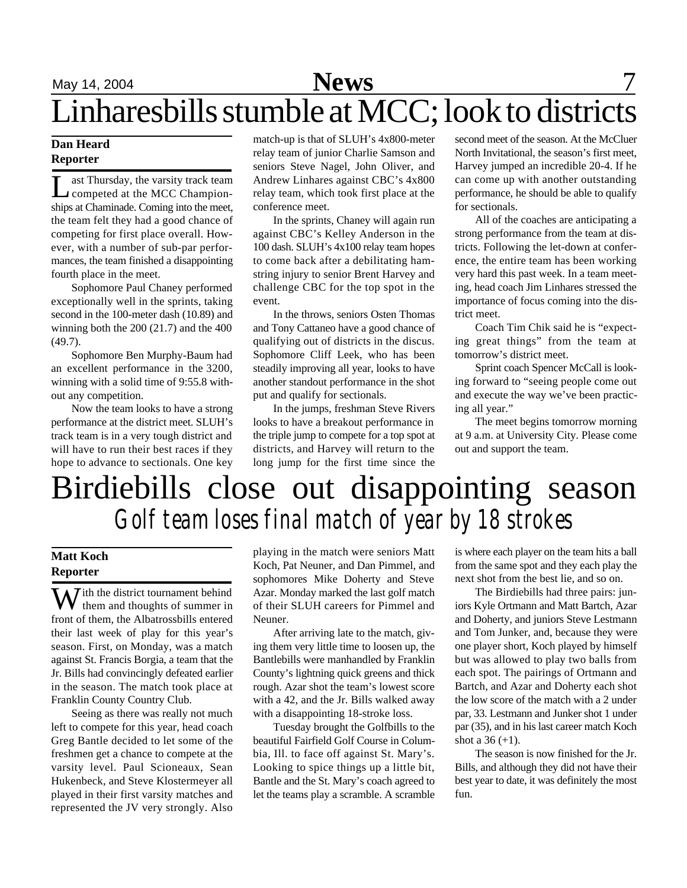### **Dan Heard Reporter**

L ast Thursday, the varsity track team competed at the MCC Championships at Chaminade. Coming into the meet, the team felt they had a good chance of competing for first place overall. However, with a number of sub-par performances, the team finished a disappointing fourth place in the meet.

Sophomore Paul Chaney performed exceptionally well in the sprints, taking second in the 100-meter dash (10.89) and winning both the 200 (21.7) and the 400 (49.7).

Sophomore Ben Murphy-Baum had an excellent performance in the 3200, winning with a solid time of 9:55.8 without any competition.

Now the team looks to have a strong performance at the district meet. SLUH's track team is in a very tough district and will have to run their best races if they hope to advance to sectionals. One key

match-up is that of SLUH's 4x800-meter relay team of junior Charlie Samson and seniors Steve Nagel, John Oliver, and Andrew Linhares against CBC's 4x800 relay team, which took first place at the conference meet.

In the sprints, Chaney will again run against CBC's Kelley Anderson in the 100 dash. SLUH's 4x100 relay team hopes to come back after a debilitating hamstring injury to senior Brent Harvey and challenge CBC for the top spot in the event.

In the throws, seniors Osten Thomas and Tony Cattaneo have a good chance of qualifying out of districts in the discus. Sophomore Cliff Leek, who has been steadily improving all year, looks to have another standout performance in the shot put and qualify for sectionals.

In the jumps, freshman Steve Rivers looks to have a breakout performance in the triple jump to compete for a top spot at districts, and Harvey will return to the long jump for the first time since the second meet of the season. At the McCluer North Invitational, the season's first meet, Harvey jumped an incredible 20-4. If he can come up with another outstanding performance, he should be able to qualify for sectionals.

All of the coaches are anticipating a strong performance from the team at districts. Following the let-down at conference, the entire team has been working very hard this past week. In a team meeting, head coach Jim Linhares stressed the importance of focus coming into the district meet.

Coach Tim Chik said he is "expecting great things" from the team at tomorrow's district meet.

Sprint coach Spencer McCall is looking forward to "seeing people come out and execute the way we've been practicing all year."

The meet begins tomorrow morning at 9 a.m. at University City. Please come out and support the team.

# Birdiebills close out disappointing season *Golf team loses final match of year by 18 strokes*

### **Matt Koch Reporter**

W ith the district tournament behind them and thoughts of summer in front of them, the Albatrossbills entered their last week of play for this year's season. First, on Monday, was a match against St. Francis Borgia, a team that the Jr. Bills had convincingly defeated earlier in the season. The match took place at Franklin County Country Club.

Seeing as there was really not much left to compete for this year, head coach Greg Bantle decided to let some of the freshmen get a chance to compete at the varsity level. Paul Scioneaux, Sean Hukenbeck, and Steve Klostermeyer all played in their first varsity matches and represented the JV very strongly. Also

playing in the match were seniors Matt Koch, Pat Neuner, and Dan Pimmel, and sophomores Mike Doherty and Steve Azar. Monday marked the last golf match of their SLUH careers for Pimmel and Neuner.

After arriving late to the match, giving them very little time to loosen up, the Bantlebills were manhandled by Franklin County's lightning quick greens and thick rough. Azar shot the team's lowest score with a 42, and the Jr. Bills walked away with a disappointing 18-stroke loss.

Tuesday brought the Golfbills to the beautiful Fairfield Golf Course in Columbia, Ill. to face off against St. Mary's. Looking to spice things up a little bit, Bantle and the St. Mary's coach agreed to let the teams play a scramble. A scramble

is where each player on the team hits a ball from the same spot and they each play the next shot from the best lie, and so on.

The Birdiebills had three pairs: juniors Kyle Ortmann and Matt Bartch, Azar and Doherty, and juniors Steve Lestmann and Tom Junker, and, because they were one player short, Koch played by himself but was allowed to play two balls from each spot. The pairings of Ortmann and Bartch, and Azar and Doherty each shot the low score of the match with a 2 under par, 33. Lestmann and Junker shot 1 under par (35), and in his last career match Koch shot a  $36 (+1)$ .

The season is now finished for the Jr. Bills, and although they did not have their best year to date, it was definitely the most fun.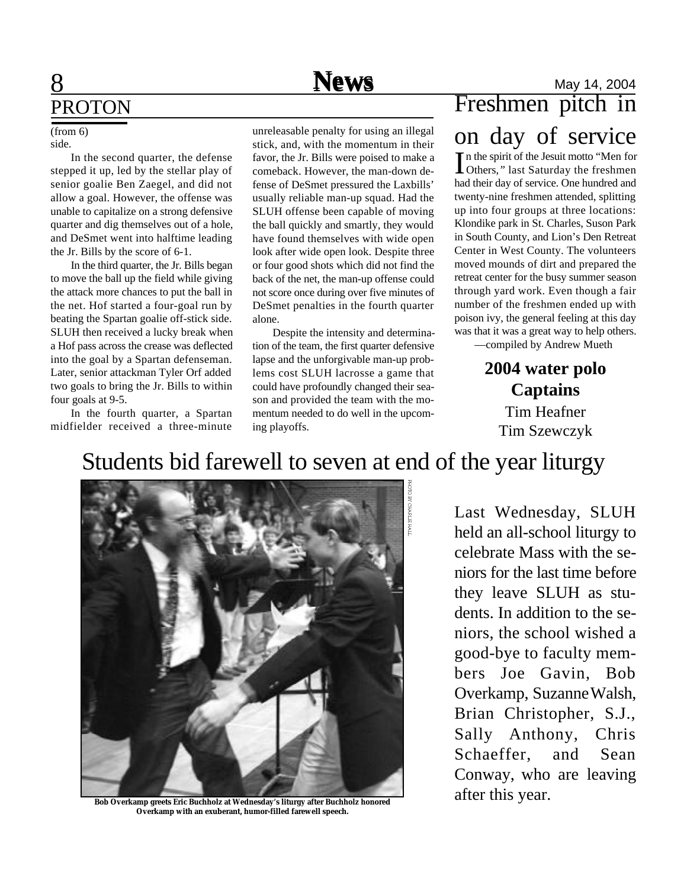# PROTON

### side.

In the second quarter, the defense stepped it up, led by the stellar play of senior goalie Ben Zaegel, and did not allow a goal. However, the offense was unable to capitalize on a strong defensive quarter and dig themselves out of a hole, and DeSmet went into halftime leading the Jr. Bills by the score of 6-1.

In the third quarter, the Jr. Bills began to move the ball up the field while giving the attack more chances to put the ball in the net. Hof started a four-goal run by beating the Spartan goalie off-stick side. SLUH then received a lucky break when a Hof pass across the crease was deflected into the goal by a Spartan defenseman. Later, senior attackman Tyler Orf added two goals to bring the Jr. Bills to within four goals at 9-5.

In the fourth quarter, a Spartan midfielder received a three-minute

(from 6) unreleasable penalty for using an illegal stick, and, with the momentum in their favor, the Jr. Bills were poised to make a comeback. However, the man-down defense of DeSmet pressured the Laxbills' usually reliable man-up squad. Had the SLUH offense been capable of moving the ball quickly and smartly, they would have found themselves with wide open look after wide open look. Despite three

or four good shots which did not find the back of the net, the man-up offense could not score once during over five minutes of DeSmet penalties in the fourth quarter alone.

Despite the intensity and determination of the team, the first quarter defensive lapse and the unforgivable man-up problems cost SLUH lacrosse a game that could have profoundly changed their season and provided the team with the momentum needed to do well in the upcoming playoffs.

### **8** May 14, 2004 Freshmen pitch in on day of service

In the spirit of the Jesuit motto "Men for Others," last Saturday the freshmen n the spirit of the Jesuit motto *"*Men for had their day of service. One hundred and twenty-nine freshmen attended, splitting up into four groups at three locations: Klondike park in St. Charles, Suson Park in South County, and Lion's Den Retreat Center in West County. The volunteers moved mounds of dirt and prepared the retreat center for the busy summer season through yard work. Even though a fair number of the freshmen ended up with poison ivy, the general feeling at this day was that it was a great way to help others.

—compiled by Andrew Mueth

**2004 water polo Captains** Tim Heafner Tim Szewczyk

### Students bid farewell to seven at end of the year liturgy



**Bob Overkamp greets Eric Buchholz at Wednesday's liturgy after Buchholz honored Overkamp with an exuberant, humor-filled farewell speech.**

Last Wednesday, SLUH held an all-school liturgy to celebrate Mass with the seniors for the last time before they leave SLUH as students. In addition to the seniors, the school wished a good-bye to faculty members Joe Gavin, Bob Overkamp, Suzanne Walsh, Brian Christopher, S.J., Sally Anthony, Chris Schaeffer, and Sean Conway, who are leaving after this year.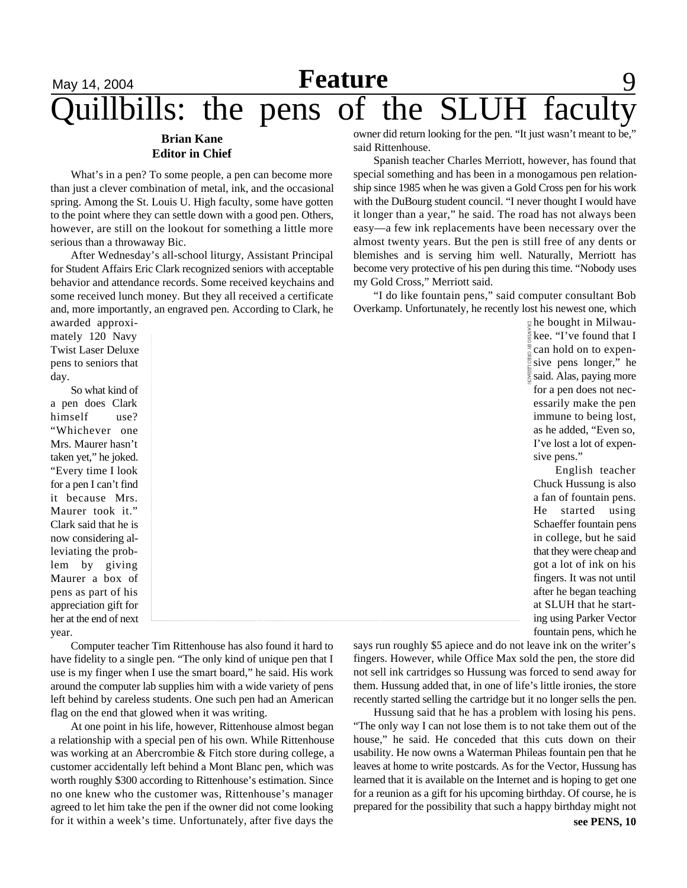## May 14, 2004 **Feature** 9 uillbills: the pens of the SLUH facult

### **Brian Kane Editor in Chief**

What's in a pen? To some people, a pen can become more than just a clever combination of metal, ink, and the occasional spring. Among the St. Louis U. High faculty, some have gotten to the point where they can settle down with a good pen. Others, however, are still on the lookout for something a little more serious than a throwaway Bic.

After Wednesday's all-school liturgy, Assistant Principal for Student Affairs Eric Clark recognized seniors with acceptable behavior and attendance records. Some received keychains and some received lunch money. But they all received a certificate and, more importantly, an engraved pen. According to Clark, he

awarded approximately 120 Navy Twist Laser Deluxe pens to seniors that day.

So what kind of a pen does Clark himself use? "Whichever one Mrs. Maurer hasn't taken yet," he joked. "Every time I look for a pen I can't find it because Mrs. Maurer took it." Clark said that he is now considering alleviating the problem by giving Maurer a box of pens as part of his appreciation gift for her at the end of next year.

Computer teacher Tim Rittenhouse has also found it hard to have fidelity to a single pen. "The only kind of unique pen that I use is my finger when I use the smart board," he said. His work around the computer lab supplies him with a wide variety of pens left behind by careless students. One such pen had an American flag on the end that glowed when it was writing.

At one point in his life, however, Rittenhouse almost began a relationship with a special pen of his own. While Rittenhouse was working at an Abercrombie & Fitch store during college, a customer accidentally left behind a Mont Blanc pen, which was worth roughly \$300 according to Rittenhouse's estimation. Since no one knew who the customer was, Rittenhouse's manager agreed to let him take the pen if the owner did not come looking for it within a week's time. Unfortunately, after five days the

owner did return looking for the pen. "It just wasn't meant to be," said Rittenhouse.

Spanish teacher Charles Merriott, however, has found that special something and has been in a monogamous pen relationship since 1985 when he was given a Gold Cross pen for his work with the DuBourg student council. "I never thought I would have it longer than a year," he said. The road has not always been easy—a few ink replacements have been necessary over the almost twenty years. But the pen is still free of any dents or blemishes and is serving him well. Naturally, Merriott has become very protective of his pen during this time. "Nobody uses my Gold Cross," Merriott said.

"I do like fountain pens," said computer consultant Bob Overkamp. Unfortunately, he recently lost his newest one, which

> he bought in Milwaukee. "I've found that I can hold on to expensive pens longer," he said. Alas, paying more for a pen does not necessarily make the pen immune to being lost, as he added, "Even so, I've lost a lot of expensive pens."

English teacher Chuck Hussung is also a fan of fountain pens. He started using Schaeffer fountain pens in college, but he said that they were cheap and got a lot of ink on his fingers. It was not until after he began teaching at SLUH that he starting using Parker Vector fountain pens, which he

says run roughly \$5 apiece and do not leave ink on the writer's fingers. However, while Office Max sold the pen, the store did not sell ink cartridges so Hussung was forced to send away for them. Hussung added that, in one of life's little ironies, the store recently started selling the cartridge but it no longer sells the pen.

Hussung said that he has a problem with losing his pens. "The only way I can not lose them is to not take them out of the house," he said. He conceded that this cuts down on their usability. He now owns a Waterman Phileas fountain pen that he leaves at home to write postcards. As for the Vector, Hussung has learned that it is available on the Internet and is hoping to get one for a reunion as a gift for his upcoming birthday. Of course, he is prepared for the possibility that such a happy birthday might not